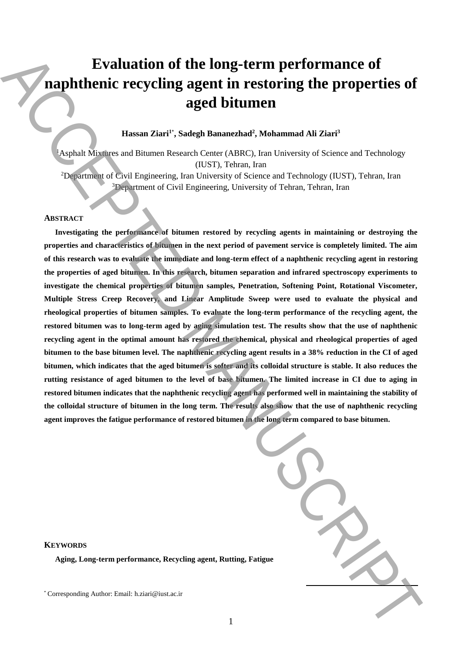# **Evaluation of the long-term performance of naphthenic recycling agent in restoring the properties of aged bitumen**

## **Hassan Ziari<sup>1</sup>**\* **, Sadegh Bananezhad<sup>2</sup> , Mohammad Ali Ziari<sup>3</sup>**

<sup>1</sup>Asphalt Mixtures and Bitumen Research Center (ABRC), Iran University of Science and Technology (IUST), Tehran, Iran

<sup>2</sup>Department of Civil Engineering, Iran University of Science and Technology (IUST), Tehran, Iran <sup>3</sup>Department of Civil Engineering, University of Tehran, Tehran, Iran

### **ABSTRACT**

**Investigating the performance of bitumen restored by recycling agents in maintaining or destroying the properties and characteristics of bitumen in the next period of pavement service is completely limited. The aim of this research was to evaluate the immediate and long-term effect of a naphthenic recycling agent in restoring the properties of aged bitumen. In this research, bitumen separation and infrared spectroscopy experiments to investigate the chemical properties of bitumen samples, Penetration, Softening Point, Rotational Viscometer, Multiple Stress Creep Recovery, and Linear Amplitude Sweep were used to evaluate the physical and rheological properties of bitumen samples. To evaluate the long-term performance of the recycling agent, the restored bitumen was to long-term aged by aging simulation test. The results show that the use of naphthenic recycling agent in the optimal amount has restored the chemical, physical and rheological properties of aged bitumen to the base bitumen level. The naphthenic recycling agent results in a 38% reduction in the CI of aged bitumen, which indicates that the aged bitumen is softer and its colloidal structure is stable. It also reduces the rutting resistance of aged bitumen to the level of base bitumen. The limited increase in CI due to aging in restored bitumen indicates that the naphthenic recycling agent has performed well in maintaining the stability of the colloidal structure of bitumen in the long term. The results also show that the use of naphthenic recycling agent improves the fatigue performance of restored bitumen in the long term compared to base bitumen.** Evaluation of the long-term performance of<br>aged bitument are storing the properties of<br>aged bituments and<br>the average of corresponding Author:  $\frac{1}{2}$ <br> $\frac{1}{2}$ <br> $\frac{1}{2}$ <br> $\frac{1}{2}$ <br> $\frac{1}{2}$ <br> $\frac{1}{2}$ <br> $\frac{1}{2}$ <br> $\frac{1}{2}$ 

| igue |  |
|------|--|

#### **KEYWORDS**

**Aging, Long-term performance, Recycling agent, Rutting, Fatigue**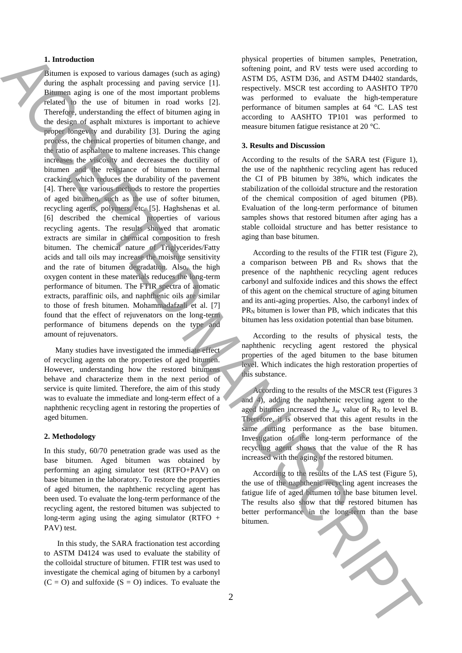## **1. Introduction**

Bitumen is exposed to various damages (such as aging) during the asphalt processing and paving service [1]. Bitumen aging is one of the most important problems related to the use of bitumen in road works [2]. Therefore, understanding the effect of bitumen aging in the design of asphalt mixtures is important to achieve proper longevity and durability [3]. During the aging process, the chemical properties of bitumen change, and the ratio of asphaltene to maltene increases. This change increases the viscosity and decreases the ductility of bitumen and the resistance of bitumen to thermal cracking, which reduces the durability of the pavement [4]. There are various methods to restore the properties of aged bitumen, such as the use of softer bitumen, recycling agents, polymers, etc. [5]. Haghshenas et al. [6] described the chemical properties of various recycling agents. The results showed that aromatic extracts are similar in chemical composition to fresh bitumen. The chemical nature of Triglycerides/Fatty acids and tall oils may increase the moisture sensitivity and the rate of bitumen degradation. Also, the high oxygen content in these materials reduces the long-term performance of bitumen. The FTIR spectra of aromatic extracts, paraffinic oils, and naphthenic oils are similar to those of fresh bitumen. Mohammadafzali et al. [7] found that the effect of rejuvenators on the long-term performance of bitumens depends on the type and amount of rejuvenators. **1.** International and the system is equivalent to the system of the system of the system of the system of the system of the system of the system of the system of the system of the system of the system of the system of th

Many studies have investigated the immediate effect of recycling agents on the properties of aged bitumen. However, understanding how the restored bitumens behave and characterize them in the next period of service is quite limited. Therefore, the aim of this study was to evaluate the immediate and long-term effect of a naphthenic recycling agent in restoring the properties of aged bitumen.

#### **2. Methodology**

In this study, 60/70 penetration grade was used as the base bitumen. Aged bitumen was obtained by performing an aging simulator test (RTFO+PAV) on base bitumen in the laboratory. To restore the properties of aged bitumen, the naphthenic recycling agent has been used. To evaluate the long-term performance of the recycling agent, the restored bitumen was subjected to long-term aging using the aging simulator (RTFO  $+$ PAV) test.

In this study, the SARA fractionation test according to ASTM D4124 was used to evaluate the stability of the colloidal structure of bitumen. FTIR test was used to investigate the chemical aging of bitumen by a carbonyl  $(C = O)$  and sulfoxide  $(S = O)$  indices. To evaluate the physical properties of bitumen samples, Penetration, softening point, and RV tests were used according to ASTM D5, ASTM D36, and ASTM D4402 standards, respectively. MSCR test according to AASHTO TP70 was performed to evaluate the high-temperature performance of bitumen samples at 64 °C. LAS test according to AASHTO TP101 was performed to measure bitumen fatigue resistance at 20 °C.

#### **3. Results and Discussion**

According to the results of the SARA test (Figure 1), the use of the naphthenic recycling agent has reduced the CI of PB bitumen by 38%, which indicates the stabilization of the colloidal structure and the restoration of the chemical composition of aged bitumen (PB). Evaluation of the long-term performance of bitumen samples shows that restored bitumen after aging has a stable colloidal structure and has better resistance to aging than base bitumen.

According to the results of the FTIR test (Figure 2), a comparison between PB and  $R_N$  shows that the presence of the naphthenic recycling agent reduces carbonyl and sulfoxide indices and this shows the effect of this agent on the chemical structure of aging bitumen and its anti-aging properties. Also, the carbonyl index of  $PR_N$  bitumen is lower than PB, which indicates that this bitumen has less oxidation potential than base bitumen.

According to the results of physical tests, the naphthenic recycling agent restored the physical properties of the aged bitumen to the base bitumen level. Which indicates the high restoration properties of this substance.

According to the results of the MSCR test (Figures 3 and 4), adding the naphthenic recycling agent to the aged bitumen increased the  $J_{nr}$  value of  $R_N$  to level B. Therefore, it is observed that this agent results in the same rutting performance as the base bitumen. Investigation of the long-term performance of the recycling agent shows that the value of the R has increased with the aging of the restored bitumen.

According to the results of the LAS test (Figure 5), the use of the naphthenic recycling agent increases the fatigue life of aged bitumen to the base bitumen level. The results also show that the restored bitumen has better performance in the long-term than the base